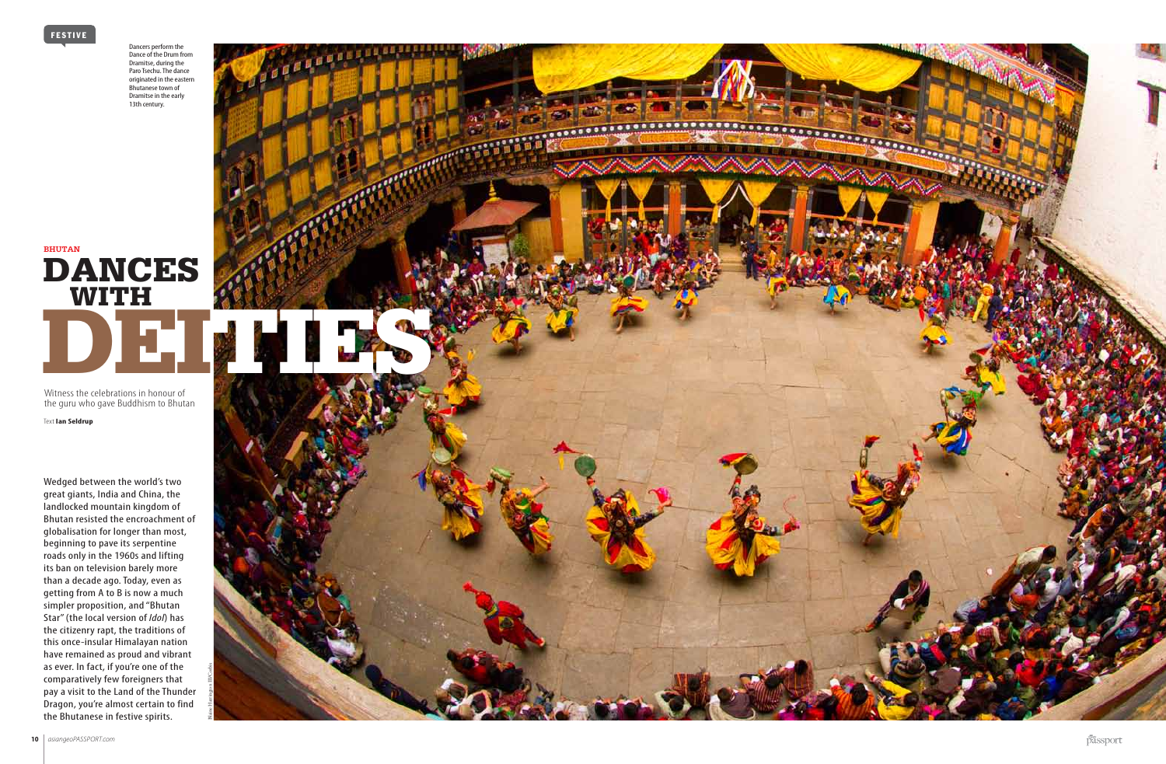

passport

Witness the celebrations in honour of the guru who gave Buddhism to Bhutan

Text **Ian Seldrup**

Wedged between the world's two great giants, India and China, the landlocked mountain kingdom of Bhutan resisted the encroachment of globalisation for longer than most, beginning to pave its serpentine roads only in the 1960s and lifting its ban on television barely more than a decade ago. Today, even as getting from A to B is now a much simpler proposition, and "Bhutan Star" (the local version of *Idol*) has the citizenry rapt, the traditions of this once-insular Himalayan nation have remained as proud and vibrant as ever. In fact, if you're one of the comparatively few foreigners that pay a visit to the Land of the Thunder Dragon, you're almost certain to find the Bhutanese in festive spirits.

Dancers perform the Dance of the Drum from Dramitse, during the Paro Tsechu. The dance originated in the eastern Bhutanese town of Dramitse in the early 13th century.

**DANCES** WITH DE LA DE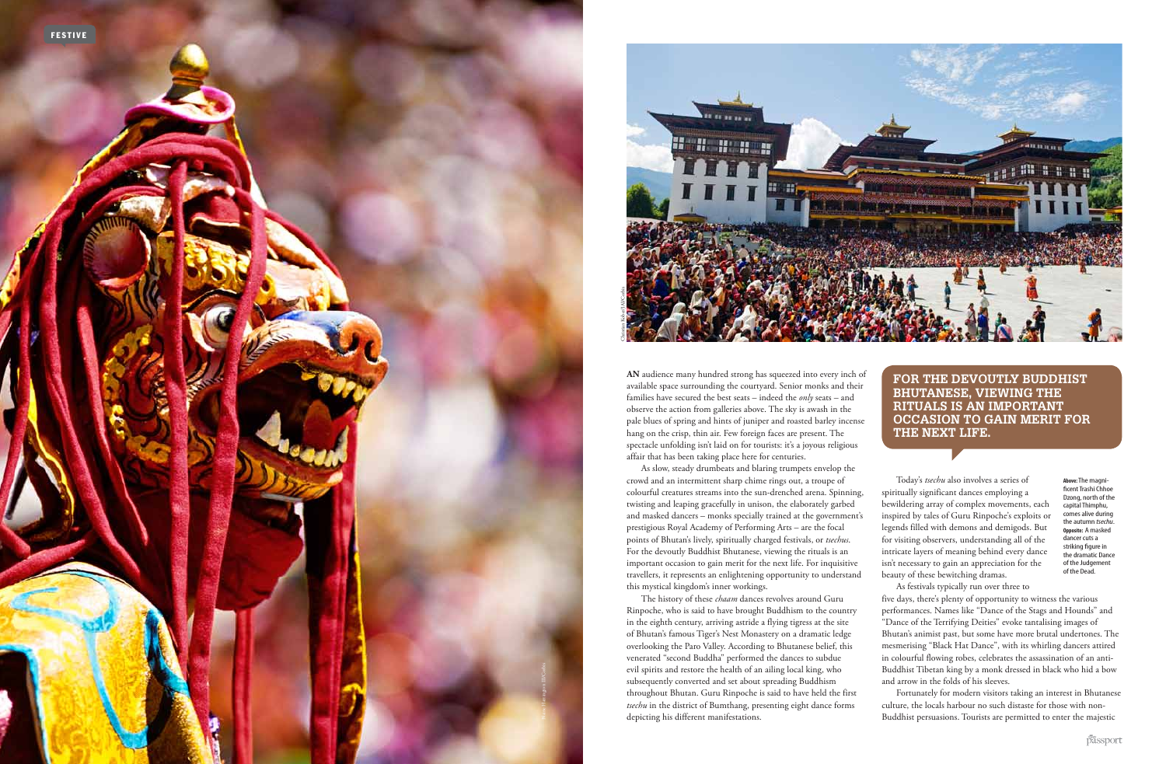**For the devoutly B udd his t Bhutanese, viewi ng the rituals is an important occ asio n to g a i n meri t for the nex t li fe.**

Today's *tsechu* also involves a series of spiritually significant dances employing a bewildering array of complex movements, each inspired by tales of Guru Rinpoche's exploits or legends filled with demons and demigods. But for visiting observers, understanding all of the intricate layers of meaning behind every dance isn't necessary to gain an appreciation for the beauty of these bewitching dramas. As festivals typically run over three to

five days, there's plenty of opportunity to witness the various performances. Names like "Dance of the Stags and Hounds" and "Dance of the Terrifying Deities" evoke tantalising images of Bhutan's animist past, but some have more brutal undertones. The mesmerising "Black Hat Dance", with its whirling dancers attired in colourful flowing robes, celebrates the assassination of an anti-Buddhist Tibetan king by a monk dressed in black who hid a bow and arrow in the folds of his sleeves.

passport

Fortunately for modern visitors taking an interest in Bhutanese culture, the locals harbour no such distaste for those with non-Buddhist persuasions. Tourists are permitted to enter the majestic

**An** audience many hundred strong has squeezed into every inch of available space surrounding the courtyard. Senior monks and their families have secured the best seats – indeed the *only* seats – and observe the action from galleries above. The sky is awash in the pale blues of spring and hints of juniper and roasted barley incense hang on the crisp, thin air. Few foreign faces are present. The spectacle unfolding isn't laid on for tourists: it's a joyous religious affair that has been taking place here for centuries.



As slow, steady drumbeats and blaring trumpets envelop the crowd and an intermittent sharp chime rings out, a troupe of colourful creatures streams into the sun-drenched arena. Spinning, twisting and leaping gracefully in unison, the elaborately garbed and masked dancers – monks specially trained at the government's prestigious Royal Academy of Performing Arts – are the focal points of Bhutan's lively, spiritually charged festivals, or *tsechus*. For the devoutly Buddhist Bhutanese, viewing the rituals is an important occasion to gain merit for the next life. For inquisitive travellers, it represents an enlightening opportunity to understand this mystical kingdom's inner workings.

The history of these *chaam* dances revolves around Guru Rinpoche, who is said to have brought Buddhism to the country in the eighth century, arriving astride a flying tigress at the site of Bhutan's famous Tiger's Nest Monastery on a dramatic ledge overlooking the Paro Valley. According to Bhutanese belief, this venerated "second Buddha" performed the dances to subdue evil spirits and restore the health of an ailing local king, who subsequently converted and set about spreading Buddhism throughout Bhutan. Guru Rinpoche is said to have held the first *tsechu* in the district of Bumthang, presenting eight dance forms depicting his different manifestations.

**Above:** The magnificent Trashi Chhoe Dzong, north of the capital Thimphu, comes alive during the autumn *tsechu* . **Opposite:** A masked dancer cuts a striking figure in the dramatic Dance of the Judgement of the Dead.

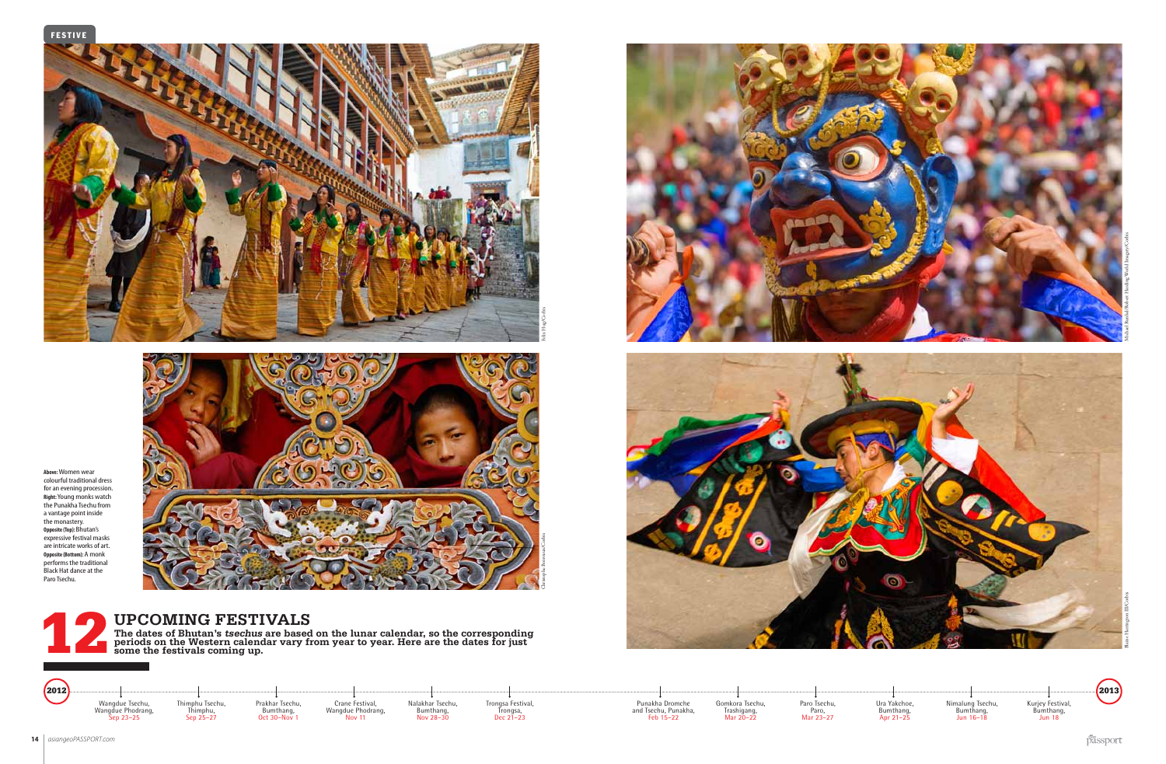FESTIVE





Blaine Harrington III/Corbis

Nimalung Tsechu,<br>Bumthang,<br>Jun 16–18

Kurjey Festival, Bumthang, Jun 18

passport

12 **The dates of Bhutan's tsechus are based on the lunar calendar, so the corresponding periods on the Western calendar vary from year to year. Here are the dates for just some the festivals coming up.** 



**Upcoming Festivals**





Michael Runkel/Robert Harding World Imagery/Corbis